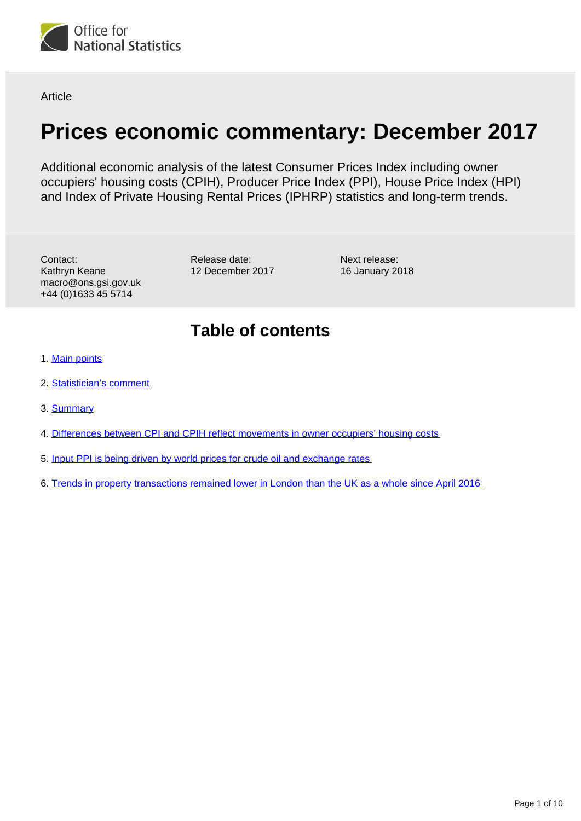

Article

# **Prices economic commentary: December 2017**

Additional economic analysis of the latest Consumer Prices Index including owner occupiers' housing costs (CPIH), Producer Price Index (PPI), House Price Index (HPI) and Index of Private Housing Rental Prices (IPHRP) statistics and long-term trends.

Contact: Kathryn Keane macro@ons.gsi.gov.uk +44 (0)1633 45 5714

Release date: 12 December 2017

Next release: 16 January 2018

# **Table of contents**

- 1. [Main points](#page-1-0)
- 2. [Statistician's comment](#page-1-1)
- 3. [Summary](#page-1-2)
- 4. [Differences between CPI and CPIH reflect movements in owner occupiers' housing costs](#page-2-0)
- 5. [Input PPI is being driven by world prices for crude oil and exchange rates](#page-6-0)
- 6. [Trends in property transactions remained lower in London than the UK as a whole since April 2016](#page-7-0)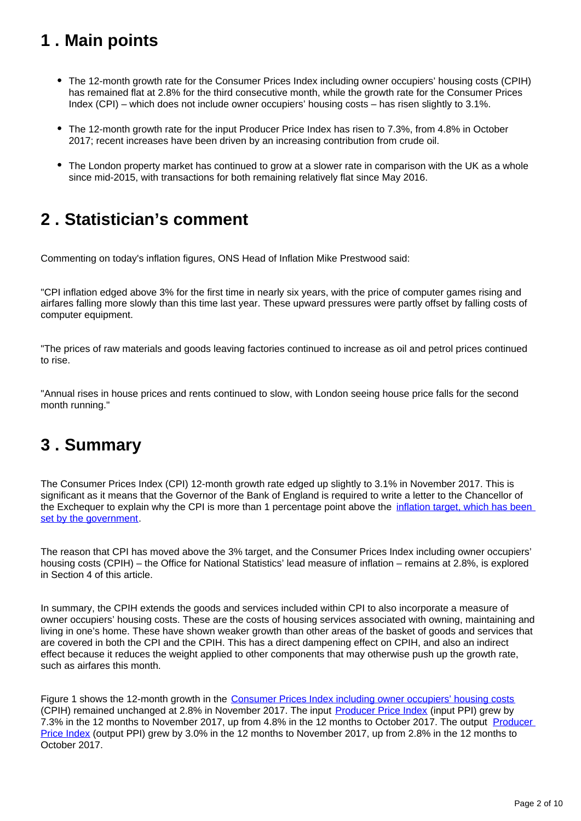# <span id="page-1-0"></span>**1 . Main points**

- The 12-month growth rate for the Consumer Prices Index including owner occupiers' housing costs (CPIH) has remained flat at 2.8% for the third consecutive month, while the growth rate for the Consumer Prices Index (CPI) – which does not include owner occupiers' housing costs – has risen slightly to 3.1%.
- The 12-month growth rate for the input Producer Price Index has risen to 7.3%, from 4.8% in October 2017; recent increases have been driven by an increasing contribution from crude oil.
- The London property market has continued to grow at a slower rate in comparison with the UK as a whole since mid-2015, with transactions for both remaining relatively flat since May 2016.

# <span id="page-1-1"></span>**2 . Statistician's comment**

Commenting on today's inflation figures, ONS Head of Inflation Mike Prestwood said:

"CPI inflation edged above 3% for the first time in nearly six years, with the price of computer games rising and airfares falling more slowly than this time last year. These upward pressures were partly offset by falling costs of computer equipment.

"The prices of raw materials and goods leaving factories continued to increase as oil and petrol prices continued to rise.

"Annual rises in house prices and rents continued to slow, with London seeing house price falls for the second month running."

# <span id="page-1-2"></span>**3 . Summary**

The Consumer Prices Index (CPI) 12-month growth rate edged up slightly to 3.1% in November 2017. This is significant as it means that the Governor of the Bank of England is required to write a letter to the Chancellor of the Exchequer to explain why the CPI is more than 1 percentage point above the inflation target, which has been [set by the government](https://www.bankofengland.co.uk/monetary-policy).

The reason that CPI has moved above the 3% target, and the Consumer Prices Index including owner occupiers' housing costs (CPIH) – the Office for National Statistics' lead measure of inflation – remains at 2.8%, is explored in Section 4 of this article.

In summary, the CPIH extends the goods and services included within CPI to also incorporate a measure of owner occupiers' housing costs. These are the costs of housing services associated with owning, maintaining and living in one's home. These have shown weaker growth than other areas of the basket of goods and services that are covered in both the CPI and the CPIH. This has a direct dampening effect on CPIH, and also an indirect effect because it reduces the weight applied to other components that may otherwise push up the growth rate, such as airfares this month.

Figure 1 shows the 12-month growth in the [Consumer Prices Index including owner occupiers' housing costs](https://www.ons.gov.uk/releases/ukconsumerpriceindicesnov2017) (CPIH) remained unchanged at 2.8% in November 2017. The input [Producer Price Index](https://www.ons.gov.uk/releases/ukproducerpriceinflationsept2017) (input PPI) grew by 7.3% in the 12 months to November 2017, up from 4.8% in the 12 months to October 2017. The output [Producer](https://www.ons.gov.uk/releases/ukproducerpriceinflationnov2017)  [Price Index](https://www.ons.gov.uk/releases/ukproducerpriceinflationnov2017) (output PPI) grew by 3.0% in the 12 months to November 2017, up from 2.8% in the 12 months to October 2017.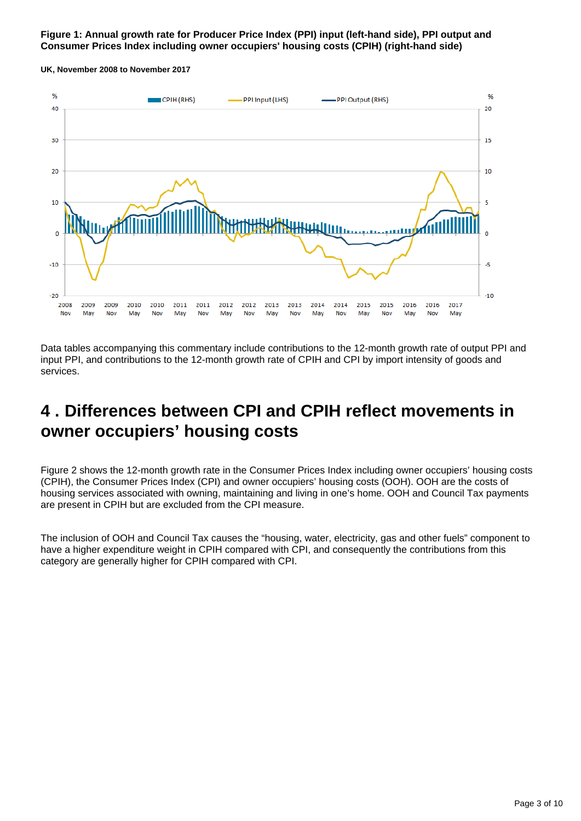## **Figure 1: Annual growth rate for Producer Price Index (PPI) input (left-hand side), PPI output and Consumer Prices Index including owner occupiers' housing costs (CPIH) (right-hand side)**

**UK, November 2008 to November 2017**



Data tables accompanying this commentary include contributions to the 12-month growth rate of output PPI and input PPI, and contributions to the 12-month growth rate of CPIH and CPI by import intensity of goods and services.

# <span id="page-2-0"></span>**4 . Differences between CPI and CPIH reflect movements in owner occupiers' housing costs**

Figure 2 shows the 12-month growth rate in the Consumer Prices Index including owner occupiers' housing costs (CPIH), the Consumer Prices Index (CPI) and owner occupiers' housing costs (OOH). OOH are the costs of housing services associated with owning, maintaining and living in one's home. OOH and Council Tax payments are present in CPIH but are excluded from the CPI measure.

The inclusion of OOH and Council Tax causes the "housing, water, electricity, gas and other fuels" component to have a higher expenditure weight in CPIH compared with CPI, and consequently the contributions from this category are generally higher for CPIH compared with CPI.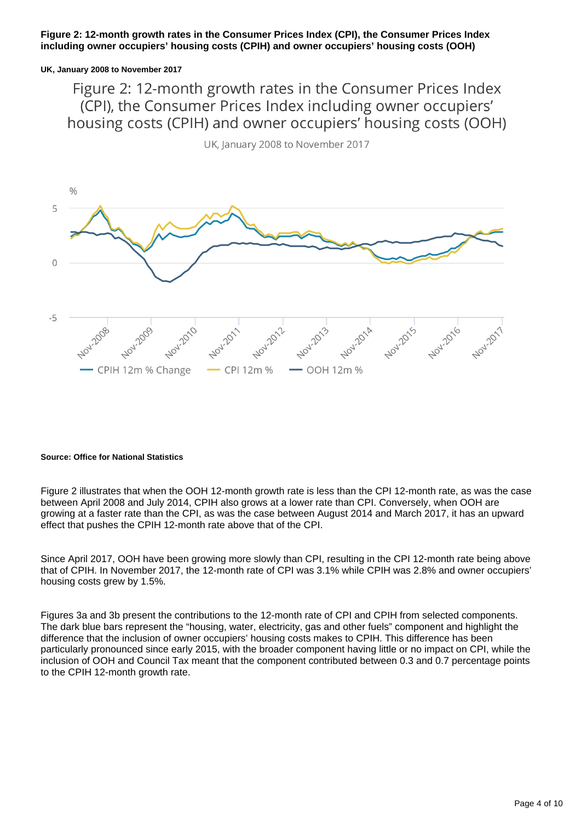## **Figure 2: 12-month growth rates in the Consumer Prices Index (CPI), the Consumer Prices Index including owner occupiers' housing costs (CPIH) and owner occupiers' housing costs (OOH)**

### **UK, January 2008 to November 2017**

Figure 2: 12-month growth rates in the Consumer Prices Index (CPI), the Consumer Prices Index including owner occupiers' housing costs (CPIH) and owner occupiers' housing costs (OOH)



UK, January 2008 to November 2017

#### **Source: Office for National Statistics**

Figure 2 illustrates that when the OOH 12-month growth rate is less than the CPI 12-month rate, as was the case between April 2008 and July 2014, CPIH also grows at a lower rate than CPI. Conversely, when OOH are growing at a faster rate than the CPI, as was the case between August 2014 and March 2017, it has an upward effect that pushes the CPIH 12-month rate above that of the CPI.

Since April 2017, OOH have been growing more slowly than CPI, resulting in the CPI 12-month rate being above that of CPIH. In November 2017, the 12-month rate of CPI was 3.1% while CPIH was 2.8% and owner occupiers' housing costs grew by 1.5%.

Figures 3a and 3b present the contributions to the 12-month rate of CPI and CPIH from selected components. The dark blue bars represent the "housing, water, electricity, gas and other fuels" component and highlight the difference that the inclusion of owner occupiers' housing costs makes to CPIH. This difference has been particularly pronounced since early 2015, with the broader component having little or no impact on CPI, while the inclusion of OOH and Council Tax meant that the component contributed between 0.3 and 0.7 percentage points to the CPIH 12-month growth rate.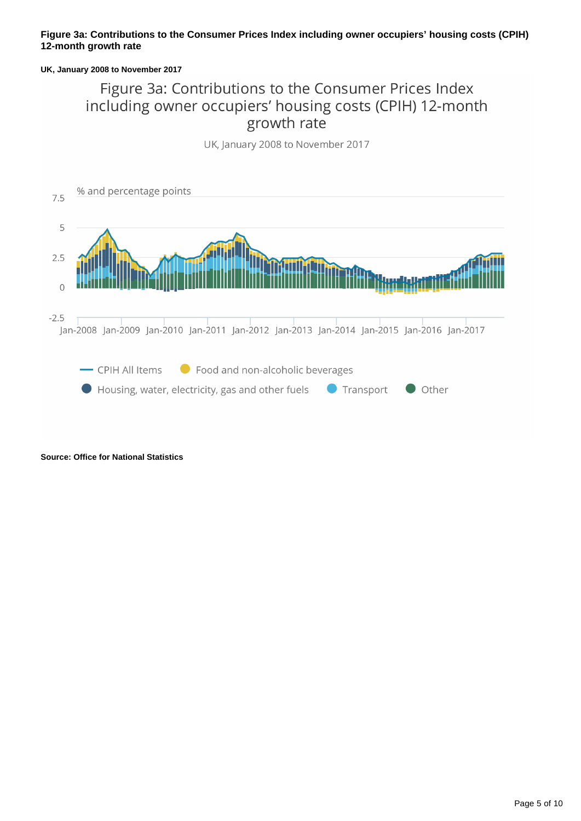# **Figure 3a: Contributions to the Consumer Prices Index including owner occupiers' housing costs (CPIH) 12-month growth rate**

### **UK, January 2008 to November 2017**

# Figure 3a: Contributions to the Consumer Prices Index including owner occupiers' housing costs (CPIH) 12-month growth rate

UK, January 2008 to November 2017



**Source: Office for National Statistics**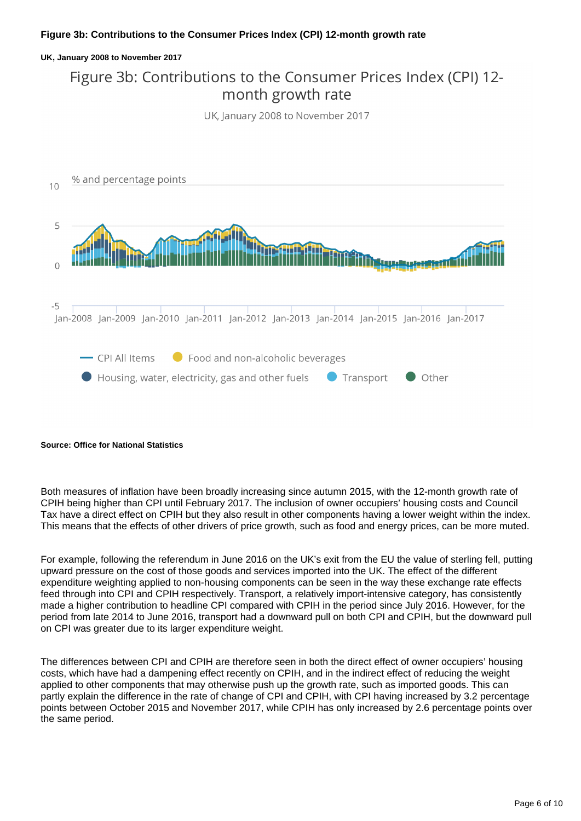## **Figure 3b: Contributions to the Consumer Prices Index (CPI) 12-month growth rate**

### **UK, January 2008 to November 2017**

# Figure 3b: Contributions to the Consumer Prices Index (CPI) 12month growth rate

UK, January 2008 to November 2017



#### **Source: Office for National Statistics**

Both measures of inflation have been broadly increasing since autumn 2015, with the 12-month growth rate of CPIH being higher than CPI until February 2017. The inclusion of owner occupiers' housing costs and Council Tax have a direct effect on CPIH but they also result in other components having a lower weight within the index. This means that the effects of other drivers of price growth, such as food and energy prices, can be more muted.

For example, following the referendum in June 2016 on the UK's exit from the EU the value of sterling fell, putting upward pressure on the cost of those goods and services imported into the UK. The effect of the different expenditure weighting applied to non-housing components can be seen in the way these exchange rate effects feed through into CPI and CPIH respectively. Transport, a relatively import-intensive category, has consistently made a higher contribution to headline CPI compared with CPIH in the period since July 2016. However, for the period from late 2014 to June 2016, transport had a downward pull on both CPI and CPIH, but the downward pull on CPI was greater due to its larger expenditure weight.

The differences between CPI and CPIH are therefore seen in both the direct effect of owner occupiers' housing costs, which have had a dampening effect recently on CPIH, and in the indirect effect of reducing the weight applied to other components that may otherwise push up the growth rate, such as imported goods. This can partly explain the difference in the rate of change of CPI and CPIH, with CPI having increased by 3.2 percentage points between October 2015 and November 2017, while CPIH has only increased by 2.6 percentage points over the same period.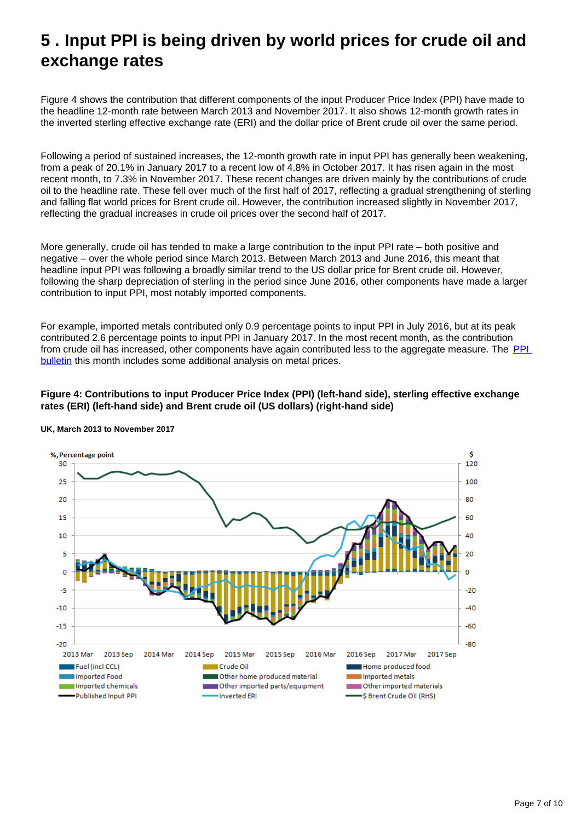# <span id="page-6-0"></span>**5 . Input PPI is being driven by world prices for crude oil and exchange rates**

Figure 4 shows the contribution that different components of the input Producer Price Index (PPI) have made to the headline 12-month rate between March 2013 and November 2017. It also shows 12-month growth rates in the inverted sterling effective exchange rate (ERI) and the dollar price of Brent crude oil over the same period.

Following a period of sustained increases, the 12-month growth rate in input PPI has generally been weakening, from a peak of 20.1% in January 2017 to a recent low of 4.8% in October 2017. It has risen again in the most recent month, to 7.3% in November 2017. These recent changes are driven mainly by the contributions of crude oil to the headline rate. These fell over much of the first half of 2017, reflecting a gradual strengthening of sterling and falling flat world prices for Brent crude oil. However, the contribution increased slightly in November 2017, reflecting the gradual increases in crude oil prices over the second half of 2017.

More generally, crude oil has tended to make a large contribution to the input PPI rate – both positive and negative – over the whole period since March 2013. Between March 2013 and June 2016, this meant that headline input PPI was following a broadly similar trend to the US dollar price for Brent crude oil. However, following the sharp depreciation of sterling in the period since June 2016, other components have made a larger contribution to input PPI, most notably imported components.

For example, imported metals contributed only 0.9 percentage points to input PPI in July 2016, but at its peak contributed 2.6 percentage points to input PPI in January 2017. In the most recent month, as the contribution from crude oil has increased, other components have again contributed less to the aggregate measure. The PPI [bulletin](http://%20https://www.ons.gov.uk/economy/inflationandpriceindices/bulletins/producerpriceinflation/november2017) this month includes some additional analysis on metal prices.

### **Figure 4: Contributions to input Producer Price Index (PPI) (left-hand side), sterling effective exchange rates (ERI) (left-hand side) and Brent crude oil (US dollars) (right-hand side)**



### **UK, March 2013 to November 2017**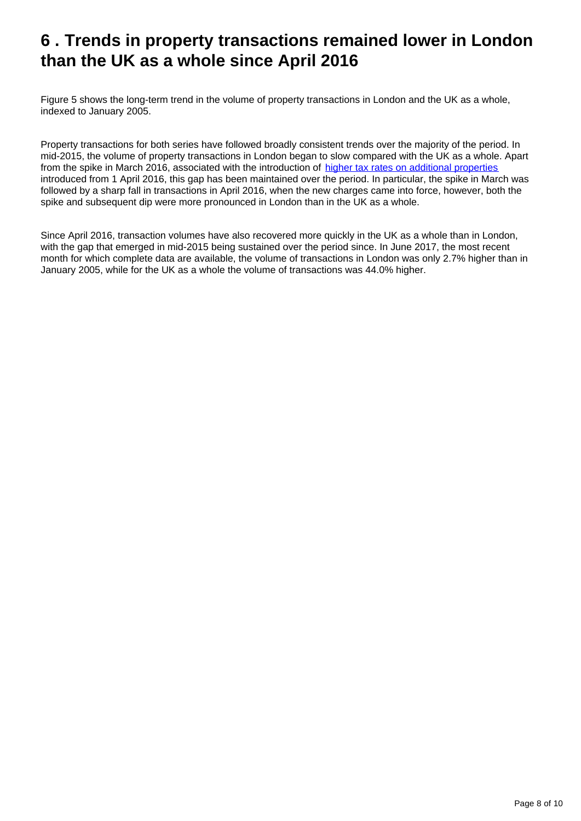# <span id="page-7-0"></span>**6 . Trends in property transactions remained lower in London than the UK as a whole since April 2016**

Figure 5 shows the long-term trend in the volume of property transactions in London and the UK as a whole, indexed to January 2005.

Property transactions for both series have followed broadly consistent trends over the majority of the period. In mid-2015, the volume of property transactions in London began to slow compared with the UK as a whole. Apart from the spike in March 2016, associated with the introduction of [higher tax rates on additional properties](https://www.ons.gov.uk/economy/inflationandpriceindices/articles/priceseconomiccommentary/june2017) introduced from 1 April 2016, this gap has been maintained over the period. In particular, the spike in March was followed by a sharp fall in transactions in April 2016, when the new charges came into force, however, both the spike and subsequent dip were more pronounced in London than in the UK as a whole.

Since April 2016, transaction volumes have also recovered more quickly in the UK as a whole than in London, with the gap that emerged in mid-2015 being sustained over the period since. In June 2017, the most recent month for which complete data are available, the volume of transactions in London was only 2.7% higher than in January 2005, while for the UK as a whole the volume of transactions was 44.0% higher.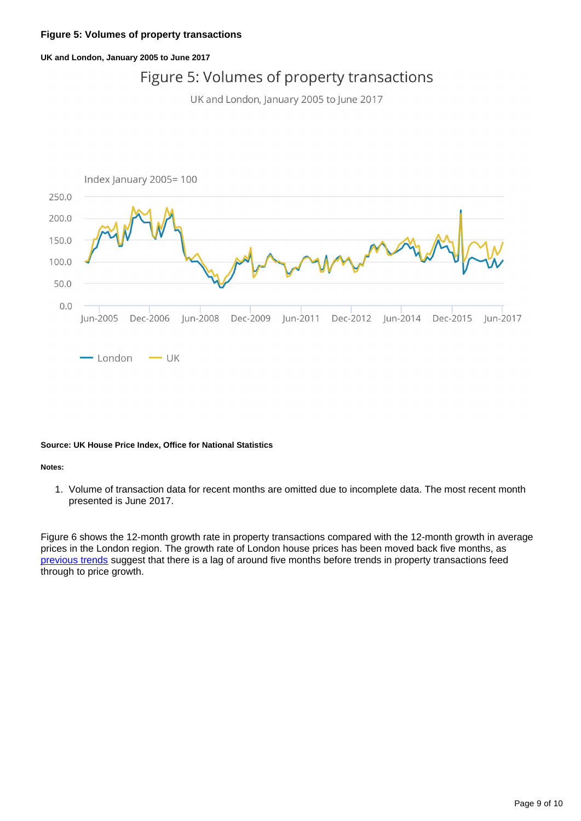### **Figure 5: Volumes of property transactions**

#### **UK and London, January 2005 to June 2017**

# Figure 5: Volumes of property transactions

UK and London, January 2005 to June 2017



#### **Source: UK House Price Index, Office for National Statistics**

#### **Notes:**

1. Volume of transaction data for recent months are omitted due to incomplete data. The most recent month presented is June 2017.

Figure 6 shows the 12-month growth rate in property transactions compared with the 12-month growth in average prices in the London region. The growth rate of London house prices has been moved back five months, as [previous trends](https://www.ons.gov.uk/economy/inflationandpriceindices/articles/priceseconomiccommentary/june2017) suggest that there is a lag of around five months before trends in property transactions feed through to price growth.